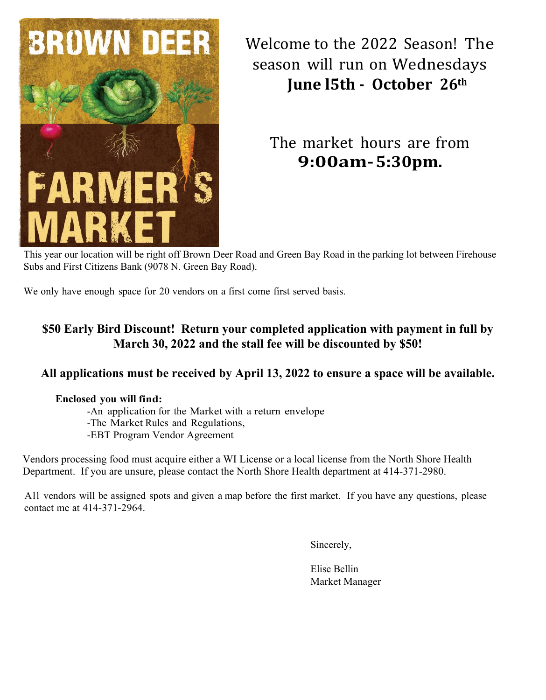

Welcome to the 2022 Season! The season will run on Wednesdays **June l5th - October 26th**

The market hours are from **9:00am-5:30pm.**

This year our location will be right off Brown Deer Road and Green Bay Road in the parking lot between Firehouse Subs and First Citizens Bank (9078 N. Green Bay Road).

We only have enough space for 20 vendors on a first come first served basis.

### **\$50 Early Bird Discount! Return your completed application with payment in full by March 30, 2022 and the stall fee will be discounted by \$50!**

### **All applications must be received by April 13, 2022 to ensure a space will be available.**

#### **Enclosed you will find:**

-An application for the Market with a return envelope

-The Market Rules and Regulations,

-EBT Program Vendor Agreement

Vendors processing food must acquire either a WI License or a local license from the North Shore Health Department. If you are unsure, please contact the North Shore Health department at 414-371-2980.

All vendors will be assigned spots and given a map before the first market. If you have any questions, please contact me at 414-371-2964.

Sincerely,

Elise Bellin Market Manager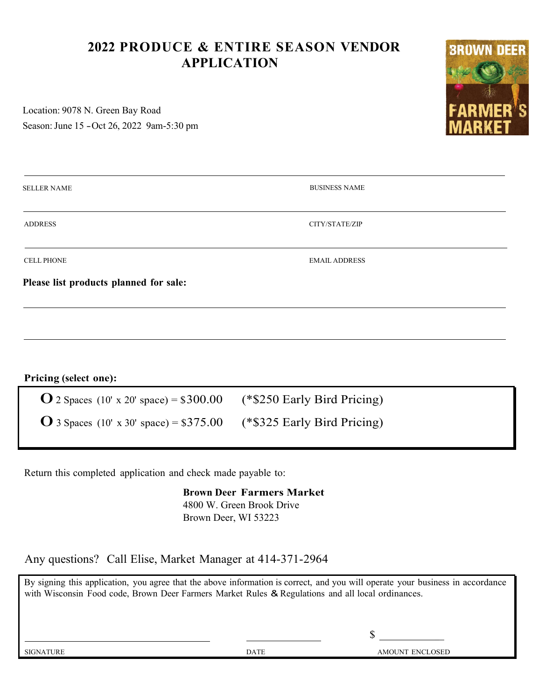## **2022 PRODUCE & ENTIRE SEASON VENDOR APPLICATION**

Location: 9078 N. Green Bay Road Season: June 15 - Oct 26, 2022 9am-5:30 pm



| <b>SELLER NAME</b>                     | <b>BUSINESS NAME</b> |  |  |
|----------------------------------------|----------------------|--|--|
| <b>ADDRESS</b>                         | CITY/STATE/ZIP       |  |  |
| <b>CELL PHONE</b>                      | <b>EMAIL ADDRESS</b> |  |  |
| Please list products planned for sale: |                      |  |  |
|                                        |                      |  |  |

**Pricing (select one):**

| <b>O</b> 2 Spaces (10' x 20' space) = $$300.00$ | $(*\$250$ Early Bird Pricing) |
|-------------------------------------------------|-------------------------------|
| <b>O</b> 3 Spaces (10' x 30' space) = $$375.00$ | $(*\$325$ Early Bird Pricing) |

Return this completed application and check made payable to:

**Brown Deer Farmers Market** 4800 W. Green Brook Drive Brown Deer, WI 53223

Any questions? Call Elise, Market Manager at 414-371-2964

By signing this application, you agree that the above information is correct, and you will operate your business in accordance with Wisconsin Food code, Brown Deer Farmers Market Rules & Regulations and all local ordinances.

 $\sim$ 

SIGNATURE DATE AMOUNT ENCLOSED